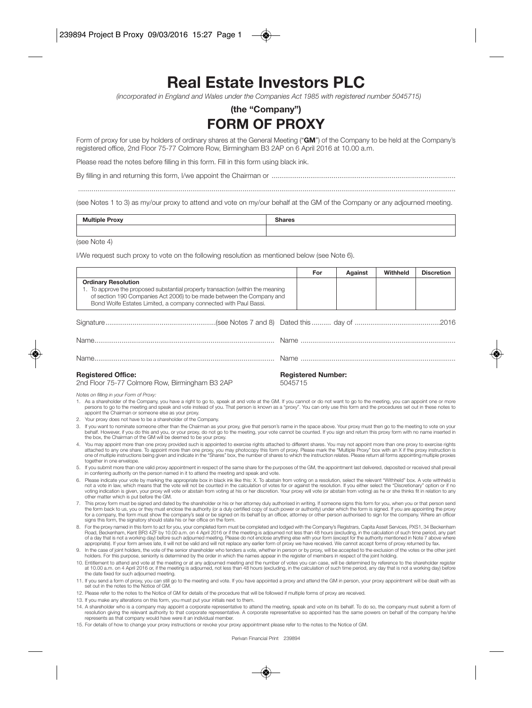## **Real Estate Investors PLC**

*(incorporated in England and Wales under the Companies Act 1985 with registered number 5045715)*

## **(the "Company") FORM OF PROXY**

Form of proxy for use by holders of ordinary shares at the General Meeting ("**GM**") of the Company to be held at the Company's registered office, 2nd Floor 75-77 Colmore Row, Birmingham B3 2AP on 6 April 2016 at 10.00 a.m.

Please read the notes before filling in this form. Fill in this form using black ink.

...................................................................................................................................................................................................

By filling in and returning this form, I/we appoint the Chairman or ...............................................................................................

(see Notes 1 to 3) as my/our proxy to attend and vote on my/our behalf at the GM of the Company or any adjourned meeting.

| <b>Multiple</b><br><b>The Asset</b><br><b>Proxy</b> | $\sim$<br>---<br>dies<br> |
|-----------------------------------------------------|---------------------------|
|                                                     |                           |

(see Note 4)

I/We request such proxy to vote on the following resolution as mentioned below (see Note 6).

|                                                                                                                                                                                                                                                                                                                                                                                                                                                            |                                                                                                                                                                                                                                                                                                                                                                                                                                    | For                                  | Against | Withheld | <b>Discretion</b> |  |  |
|------------------------------------------------------------------------------------------------------------------------------------------------------------------------------------------------------------------------------------------------------------------------------------------------------------------------------------------------------------------------------------------------------------------------------------------------------------|------------------------------------------------------------------------------------------------------------------------------------------------------------------------------------------------------------------------------------------------------------------------------------------------------------------------------------------------------------------------------------------------------------------------------------|--------------------------------------|---------|----------|-------------------|--|--|
|                                                                                                                                                                                                                                                                                                                                                                                                                                                            | <b>Ordinary Resolution</b><br>1. To approve the proposed substantial property transaction (within the meaning<br>of section 190 Companies Act 2006) to be made between the Company and<br>Bond Wolfe Estates Limited, a company connected with Paul Bassi.                                                                                                                                                                         |                                      |         |          |                   |  |  |
|                                                                                                                                                                                                                                                                                                                                                                                                                                                            |                                                                                                                                                                                                                                                                                                                                                                                                                                    |                                      |         |          |                   |  |  |
|                                                                                                                                                                                                                                                                                                                                                                                                                                                            |                                                                                                                                                                                                                                                                                                                                                                                                                                    |                                      |         |          |                   |  |  |
|                                                                                                                                                                                                                                                                                                                                                                                                                                                            |                                                                                                                                                                                                                                                                                                                                                                                                                                    |                                      |         |          |                   |  |  |
| <b>Registered Office:</b><br>2nd Floor 75-77 Colmore Row, Birmingham B3 2AP                                                                                                                                                                                                                                                                                                                                                                                |                                                                                                                                                                                                                                                                                                                                                                                                                                    | <b>Registered Number:</b><br>5045715 |         |          |                   |  |  |
| Notes on filling in your Form of Proxy:<br>1. As a shareholder of the Company, you have a right to go to, speak at and vote at the GM. If you cannot or do not want to go to the meeting, you can appoint one or more<br>persons to go to the meeting and speak and vote instead of you. That person is known as a "proxy". You can only use this form and the procedures set out in these notes to<br>appoint the Chairman or someone else as your proxy. |                                                                                                                                                                                                                                                                                                                                                                                                                                    |                                      |         |          |                   |  |  |
|                                                                                                                                                                                                                                                                                                                                                                                                                                                            | 2. Your proxy does not have to be a shareholder of the Company.                                                                                                                                                                                                                                                                                                                                                                    |                                      |         |          |                   |  |  |
|                                                                                                                                                                                                                                                                                                                                                                                                                                                            | 3. If you want to nominate someone other than the Chairman as your proxy, give that person's name in the space above. Your proxy must then go to the meeting to vote on your<br>behalf. However, if you do this and you, or your proxy, do not go to the meeting, your vote cannot be counted. If you sign and return this proxy form with no name inserted in<br>the box, the Chairman of the GM will be deemed to be your proxy. |                                      |         |          |                   |  |  |
|                                                                                                                                                                                                                                                                                                                                                                                                                                                            | 4. You may appoint more than one proxy provided such is appointed to exercise rights attached to different shares. You may not appoint more than one proxy to exercise rights                                                                                                                                                                                                                                                      |                                      |         |          |                   |  |  |

4. You may appoint more than one proxy provided such is appointed to exercise rights attached to filerent shares. You may not appoint more than one proxy to exercise rights of the proxy box with an X if the proxy instructi one of multiple instructions being given and indicate in the "Shares" box, the number of shares to which the instruction relates. Please return all forms appointing multiple proxies together in one envelope.

- 5. If you submit more than one valid proxy appointment in respect of the same share for the purposes of the GM, the appointment last delivered, deposited or received shall prevail in conferring authority on the person named in it to attend the meeting and speak and vote.
- 6. Please indicate your vote by marking the appropriate box in black ink like this: X. To abstain from voting on a resolution, select the relevant "Withheld" box. A vote withheld is not a vote in law, which means that the vote will not be counted in the calculation of votes for or against the resolution. If you either select the "Discretionary" option or if no voting indication is given, your proxy will vote or abstain from voting at his or her discretion. Your proxy will vote (or abstain from voting) as he or she thinks fit in relation to any other matter which is put before the GM.
- 7. This proxy form must be signed and dated by the shareholder or his or her attorney duly authorised in writing. If someone signs this form for you, when you or that person send the form back to us, you or they must enclose the authority (or a duly certified copy of such power or authority under which the form is signed. If you are appointing the proxy<br>for a company, the form must show the company signs this form, the signatory should state his or her office on the form.
- 8. For the proxy named in this form to act for you, your completed form must be completed and lodged with the Company's Registrars, Capita Asset Services, PXS1, 34 Beckenham Road, Beckenham, Kent BR3 4ZF by 10.00 a.m. on 4 April 2016 or if the meeting is adjourned not less than 48 hours (excluding, in the calculation of such time period, any part of a day that is not a working day) before such adjourned meeting. Please do not enclose anything else with your form (except for the authority mentioned in Note 7 above where appropriate). If your form arrives late, it will not be valid and will not replace any earlier form of proxy we have received. We cannot accept forms of proxy returned by fax.
- 9. In the case of joint holders, the vote of the senior shareholder who tenders a vote, whether in person or by proxy, will be accepted to the exclusion of the votes or the other joint holders. For this purpose, seniority is determined by the order in which the names appear in the register of members in respect of the joint holding.
- 10. Entitlement to attend and vote at the meeting or at any adjourned meeting and the number of votes you can case, will be determined by reference to the shareholder register at 10.00 a.m. on 4 April 2016 or, if the meeting is adjourned, not less than 48 hours (excluding, in the calculation of such time period, any day that is not a working day) before the date fixed for such adjourned meeting.
- 11. If you send a form of proxy, you can still go to the meeting and vote. If you have appointed a proxy and attend the GM in person, your proxy appointment will be dealt with as set out in the notes to the Notice of GM.
- 12. Please refer to the notes to the Notice of GM for details of the procedure that will be followed if multiple forms of proxy are received.
- 13. If you make any alterations on this form, you must put your initials next to them.
- 14. A shareholder who is a company may appoint a corporate representative to attend the meeting, speak and vote on its behalf. To do so, the company must submit a form of resolution giving the relevant authority to that corporate representative. A corporate representative so appointed has the same powers on behalf of the company he/she represents as that company would have were it an individual member.
- 15. For details of how to change your proxy instructions or revoke your proxy appointment please refer to the notes to the Notice of GM.